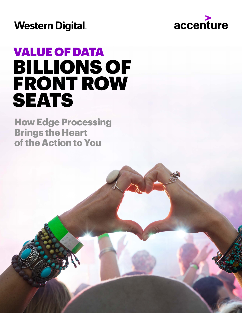

**Western Digital.** 

# BILLIONS OF FRONT ROW **SEATS** VALUE OF DATA

**How Edge Processing Brings the Heart of the Action to You**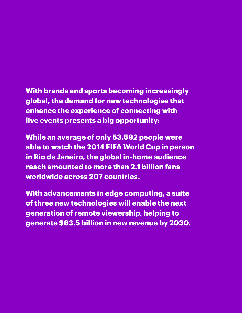**With brands and sports becoming increasingly global, the demand for new technologies that enhance the experience of connecting with live events presents a big opportunity:** 

**While an average of only 53,592 people were able to watch the 2014 FIFA World Cup in person in Rio de Janeiro, the global in-home audience reach amounted to more than 2.1 billion fans worldwide across 207 countries.** 

**With advancements in edge computing, a suite of three new technologies will enable the next generation of remote viewership, helping to generate \$63.5 billion in new revenue by 2030.**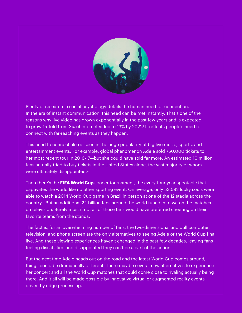

Plenty of research in social psychology details the human need for connection. In the era of instant communication, this need can be met instantly. That's one of the reasons why live video has grown exponentially in the past few years and is expected to grow 15-fold from 3% of internet video to 13% by 2021.<sup>1</sup> It reflects people's need to connect with far-reaching events as they happen.

This need to connect also is seen in the huge popularity of big live music, sports, and entertainment events. For example, global phenomenon Adele sold 750,000 tickets to her most recent tour in 2016-17—but she could have sold far more: An estimated 10 million fans actually tried to buy tickets in the United States alone, the vast majority of whom were ultimately disappointed.<sup>2</sup>

Then there's the **FIFA World Cup** soccer tournament, the every-four-year spectacle that captivates the world like no other sporting event. On average, only 53,592 lucky souls were able to watch a 2014 World Cup game in Brazil in person at one of the 12 stadia across the country.3 But an additional 2.1 billion fans around the world tuned in to watch the matches on television. Surely most if not all of those fans would have preferred cheering on their favorite teams from the stands.

The fact is, for an overwhelming number of fans, the two-dimensional and dull computer, television, and phone screen are the only alternatives to seeing Adele or the World Cup final live. And these viewing experiences haven't changed in the past few decades, leaving fans feeling dissatisfied and disappointed they can't be a part of the action.

But the next time Adele heads out on the road and the latest World Cup comes around, things could be dramatically different. There may be several new alternatives to experience her concert and all the World Cup matches that could come close to rivaling actually being there. And it all will be made possible by innovative virtual or augmented reality events driven by edge processing.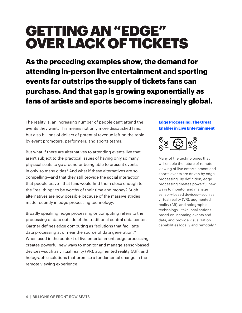## GETTING AN "EDGE" OVER LACK OF TICKETS

**As the preceding examples show, the demand for attending in-person live entertainment and sporting events far outstrips the supply of tickets fans can purchase. And that gap is growing exponentially as fans of artists and sports become increasingly global.** 

The reality is, an increasing number of people can't attend the events they want. This means not only more dissatisfied fans, but also billions of dollars of potential revenue left on the table by event promoters, performers, and sports teams.

But what if there are alternatives to attending events live that aren't subject to the practical issues of having only so many physical seats to go around or being able to present events in only so many cities? And what if these alternatives are so compelling—and that they still provide the social interaction that people crave—that fans would find them close enough to the "real thing" to be worthy of their time and money? Such alternatives are now possible because of the massive strides made recently in edge processing technology.

Broadly speaking, edge processing or computing refers to the processing of data outside of the traditional central data center. Gartner defines edge computing as "solutions that facilitate data processing at or near the source of data generation."<sup>4</sup> When used in the context of live entertainment, edge processing creates powerful new ways to monitor and manage sensor-based devices—such as virtual reality (VR), augmented reality (AR), and holographic solutions that promise a fundamental change in the remote viewing experience.

#### **Edge Processing: The Great Enabler in Live Entertainment**



Many of the technologies that will enable the future of remote viewing of live entertainment and sports events are driven by edge processing. By definition, edge processing creates powerful new ways to monitor and manage sensory-based devices—such as virtual reality (VR), augmented reality (AR), and holographic technology—take local actions based on incoming events and data, and provide visualization capabilities locally and remotely.5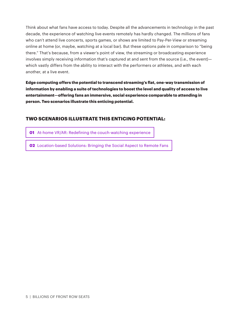Think about what fans have access to today. Despite all the advancements in technology in the past decade, the experience of watching live events remotely has hardly changed. The millions of fans who can't attend live concerts, sports games, or shows are limited to Pay-Per-View or streaming online at home (or, maybe, watching at a local bar). But these options pale in comparison to "being there." That's because, from a viewer's point of view, the streaming or broadcasting experience involves simply receiving information that's captured at and sent from the source (i.e., the event) which vastly differs from the ability to interact with the performers or athletes, and with each another, at a live event.

**Edge computing offers the potential to transcend streaming's flat, one-way transmission of information by enabling a suite of technologies to boost the level and quality of access to live entertainment—offering fans an immersive, social experience comparable to attending in person. Two scenarios illustrate this enticing potential.**

### **TWO SCENARIOS ILLUSTRATE THIS ENTICING POTENTIAL:**

**01** [At-home VR/AR: Redefining the couch-watching experience](#page-5-0)

**02** [Location-based Solutions: Bringing the Social Aspect to Remote Fans](#page-6-0)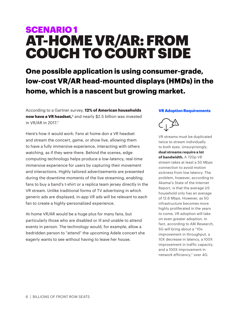## <span id="page-5-0"></span>SCENARIO 1 AT-HOME VR/AR: FROM COUCH TO COURT SIDE

**One possible application is using consumer-grade, low-cost VR/AR head-mounted displays (HMDs) in the home, which is a nascent but growing market.**

According to a Gartner survey, **12% of American households now have a VR headset,**<sup>6</sup> and nearly \$2.5 billion was invested in VR/AR in 2017.<sup>7</sup>

Here's how it would work: Fans at home don a VR headset and stream the concert, game, or show live, allowing them to have a fully immersive experience, interacting with others watching, as if they were there. Behind the scenes, edge computing technology helps produce a low-latency, real-time immersive experience for users by capturing their movement and interactions. Highly tailored advertisements are presented during the downtime moments of the live streaming, enabling fans to buy a band's t-shirt or a replica team jersey directly in the VR stream. Unlike traditional forms of TV advertising in which generic ads are displayed, in-app VR ads will be relevant to each fan to create a highly-personalized experience.

At-home VR/AR would be a huge plus for many fans, but particularly those who are disabled or ill and unable to attend events in person. The technology would, for example, allow a bedridden person to "attend" the upcoming Adele concert she eagerly wants to see without having to leave her house.

#### **VR Adoption Requirements**



VR streams must be duplicated twice to stream individually to both eyes. Unsurprisingly, **dual streams require a lot of bandwidth.** A 720p VR stream takes at least a 50 Mbps connection to avoid motion sickness from low latency. The problem, however, according to Akamai's State of the Internet Report, is that the average US household only has an average of 12.6 Mbps. However, as 5G infrastructure becomes more highly proliferated in the years to come, VR adoption will take on even greater adoption. In fact, according to ABI Research, 5G will bring about a "10x improvement in throughput, a 10X decrease in latency, a 100X improvement in traffic capacity, and a 100X improvement in network efficiency," over 4G.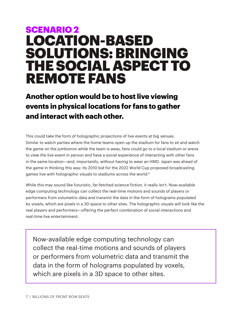## <span id="page-6-0"></span>SCENARIO 2 LOCATION-BASED SOLUTIONS: BRINGING THE SOCIAL ASPECT TO REMOTE FANS

**Another option would be to host live viewing events in physical locations for fans to gather and interact with each other.** 

This could take the form of holographic projections of live events at big venues. Similar to watch parties where the home teams open up the stadium for fans to sit and watch the game on the jumbotron while the team is away, fans could go to a local stadium or arena to view the live event in person and have a social experience of interacting with other fans in the same location—and, importantly, without having to wear an HMD. Japan was ahead of the game in thinking this way: Its 2010 bid for the 2022 World Cup proposed broadcasting games live with holographic visuals to stadiums across the world.<sup>8</sup>

While this may sound like futuristic, far-fetched science fiction, it really isn't. Now-available edge computing technology can collect the real-time motions and sounds of players or performers from volumetric data and transmit the data in the form of holograms populated by voxels, which are pixels in a 3D space to other sites. The holographic visuals will look like the real players and performers—offering the perfect combination of social interactions and real-time live entertainment.

Now-available edge computing technology can collect the real-time motions and sounds of players or performers from volumetric data and transmit the data in the form of holograms populated by voxels, which are pixels in a 3D space to other sites.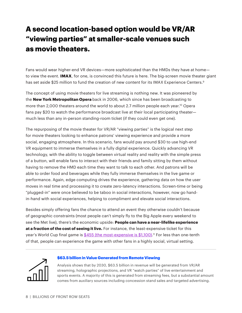## **A second location-based option would be VR/AR "viewing parties" at smaller-scale venues such as movie theaters.**

Fans would wear higher-end VR devices—more sophisticated than the HMDs they have at home to view the event. **IMAX**, for one, is convinced this future is here. The big-screen movie theater giant has set aside \$25 million to fund the creation of new content for its IMAX Experience Centers.<sup>9</sup>

The concept of using movie theaters for live streaming is nothing new. It was pioneered by the **New York Metropolitan Opera** back in 2006, which since has been broadcasting to more than 2,000 theaters around the world to about 2.7 million people each year.<sup>10</sup> Opera fans pay \$20 to watch the performance broadcast live at their local participating theater much less than any in-person standing-room ticket (if they could even get one).

The repurposing of the movie theater for VR/AR "viewing parties" is the logical next step for movie theaters looking to enhance patrons' viewing experience and provide a more social, engaging atmosphere. In this scenario, fans would pay around \$30 to use high-end VR equipment to immerse themselves in a fully digital experience. Quickly advancing VR technology, with the ability to toggle between virtual reality and reality with the simple press of a button, will enable fans to interact with their friends and family sitting by them without having to remove the HMD each time they want to talk to each other. And patrons will be able to order food and beverages while they fully immerse themselves in the live game or performance. Again, edge computing drives the experience, gathering data on how the user moves in real time and processing it to create zero-latency interactions. Screen-time or being "plugged-in" were once believed to be taboo in social interactions, however, now go handin-hand with social experiences, helping to compliment and elevate social interactions.

Besides simply offering fans the chance to attend an event they otherwise couldn't because of geographic constraints (most people can't simply fly to the Big Apple every weekend to see the Met live), there's the economic upside: **People can have a near-lifelike experience at a fraction of the cost of seeing it live.** For instance, the least-expensive ticket for this year's World Cup final game is \$455 (the most-expensive is \$1,100).<sup>11</sup> For less than one-tenth of that, people can experience the game with other fans in a highly social, virtual setting.



#### **\$63.5 billion in Value Generated from Remote Viewing**

Analysis shows that by 2030, \$63.5 billion in revenue will be generated from VR/AR streaming, holographic projections, and VR "watch parties" of live entertainment and sports events. A majority of this is generated from streaming fees, but a substantial amount comes from auxiliary sources including concession stand sales and targeted advertising.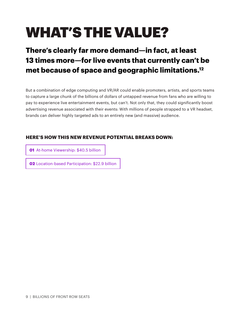# WHAT'S THE VALUE?

## **There's clearly far more demand—in fact, at least 13 times more—for live events that currently can't be met because of space and geographic limitations.12**

But a combination of edge computing and VR/AR could enable promoters, artists, and sports teams to capture a large chunk of the billions of dollars of untapped revenue from fans who are willing to pay to experience live entertainment events, but can't. Not only that, they could significantly boost advertising revenue associated with their events: With millions of people strapped to a VR headset, brands can deliver highly targeted ads to an entirely new (and massive) audience.

### **HERE'S HOW THIS NEW REVENUE POTENTIAL BREAKS DOWN:**

**01** [At-home Viewership: \\$40.5 billion](#page-9-0)

**02** Location-based Participation: \$22.9 billion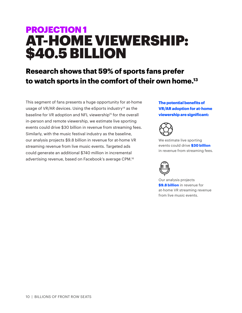## <span id="page-9-0"></span>PROJECTION 1 AT-HOME VIEWERSHIP: \$40.5 BILLION

## **Research shows that 59% of sports fans prefer to watch sports in the comfort of their own home.13**

This segment of fans presents a huge opportunity for at-home usage of VR/AR devices. Using the eSports industry<sup>14</sup> as the baseline for VR adoption and NFL viewership<sup>15</sup> for the overall in-person and remote viewership, we estimate live sporting events could drive \$30 billion in revenue from streaming fees. Similarly, with the music festival industry as the baseline, our analysis projects \$9.8 billion in revenue for at-home VR streaming revenue from live music events. Targeted ads could generate an additional \$740 million in incremental advertising revenue, based on Facebook's average CPM.16

**The potential benefits of VR/AR adoption for at-home viewership are significant:**



We estimate live sporting events could drive **\$30 billion** in revenue from streaming fees.



Our analysis projects **\$9.8 billion** in revenue for at-home VR streaming revenue from live music events.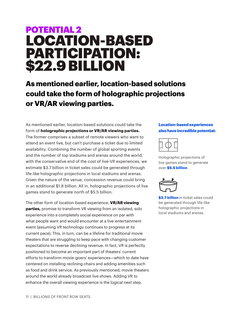## POTENTIAL 2 LOCATION-BASED PARTICIPATION: **\$22.9 BILLION**

## **As mentioned earlier, location-based solutions could take the form of holographic projections or VR/AR viewing parties.**

As mentioned earlier, location-based solutions could take the form of **holographic projections or VR/AR viewing parties.**  The former comprises a subset of remote viewers who want to attend an event live, but can't purchase a ticket due to limited availability. Combining the number of global sporting events and the number of top stadiums and arenas around the world, with the conservative end of the cost of live-VR experiences, we estimate \$3.7 billion in ticket sales could be generated through life-like holographic projections in local stadiums and arenas. Given the nature of the venue, concession revenue could bring in an additional \$1.8 billion. All in, holographic projections of live games stand to generate north of \$5.5 billion.

The other form of location-based experience, **VR/AR viewing parties,** promise to transform VR viewing from an isolated, solo experience into a completely social experience on par with what people want and would encounter at a live-entertainment event (assuming VR technology continues to progress at its current pace). This, in turn, can be a lifeline for traditional movie theaters that are struggling to keep pace with changing customer expectations to reverse declining revenue. In fact, VR is perfectly positioned to become an important part of theaters' current efforts to transform movie-goers' experiences—which to date have centered on installing reclining chairs and adding amenities such as food and drink service. As previously mentioned, movie theaters around the world already broadcast live shows. Adding VR to enhance the overall viewing experience is the logical next step.

#### **Location-based experiences also have incredible potential:**



Holographic projections of live games stand to generate over **\$5.5 billion**.



**\$3.7 billion** in ticket sales could be generated through life-like holographic projections in local stadiums and arenas.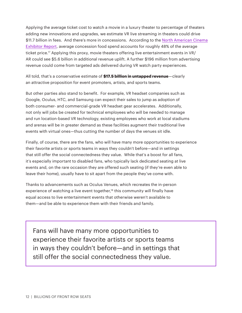Applying the average ticket cost to watch a movie in a luxury theater to percentage of theaters adding new innovations and upgrades, we estimate VR live streaming in theaters could drive \$11.7 billion in fees. And there's more in concessions. According to the North American Cinema Exhibitor Report, average concession food spend accounts for roughly 48% of the average ticket price.<sup>17</sup> Applying this proxy, movie theaters offering live entertainment events in VR/ AR could see \$5.6 billion in additional revenue uplift. A further \$196 million from advertising revenue could come from targeted ads delivered during VR watch party experiences.

All told, that's a conservative estimate of **\$17.5 billion in untapped revenue**—clearly an attractive proposition for event promoters, artists, and sports teams.

But other parties also stand to benefit. For example, VR headset companies such as Google, Oculus, HTC, and Samsung can expect their sales to jump as adoption of both consumer- and commercial-grade VR headset gear accelerates. Additionally, not only will jobs be created for technical employees who will be needed to manage and run location-based VR technology, existing employees who work at local stadiums and arenas will be in greater demand as these facilities augment their traditional live events with virtual ones—thus cutting the number of days the venues sit idle.

Finally, of course, there are the fans, who will have many more opportunities to experience their favorite artists or sports teams in ways they couldn't before—and in settings that still offer the social connectedness they value. While that's a boost for all fans, it's especially important to disabled fans, who typically lack dedicated seating at live events and, on the rare occasion they are offered such seating (if they're even able to leave their home), usually have to sit apart from the people they've come with.

Thanks to advancements such as Oculus Venues, which recreates the in-person experience of watching a live event together,<sup>18</sup> this community will finally have equal access to live entertainment events that otherwise weren't available to them—and be able to experience them with their friends and family.

Fans will have many more opportunities to experience their favorite artists or sports teams in ways they couldn't before—and in settings that still offer the social connectedness they value.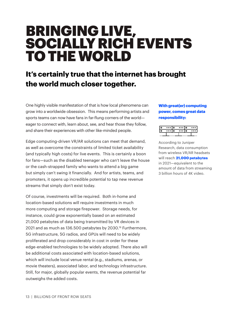## BRINGING LIVE, SOCIALLY RICH EVENTS TO THE WORLD

### **It's certainly true that the internet has brought the world much closer together.**

One highly visible manifestation of that is how local phenomena can grow into a worldwide obsession. This means performing artists and sports teams can now have fans in far-flung corners of the world eager to connect with, learn about, see, and hear those they follow, and share their experiences with other like-minded people.

Edge computing-driven VR/AR solutions can meet that demand, as well as overcome the constraints of limited ticket availability (and typically high costs) for live events. This is certainly a boon for fans—such as the disabled teenager who can't leave the house or the cash-strapped family who wants to attend a big game but simply can't swing it financially. And for artists, teams, and promoters, it opens up incredible potential to tap new revenue streams that simply don't exist today.

Of course, investments will be required. Both in-home and location-based solutions will require investments in much more computing and storage firepower. Storage needs, for instance, could grow exponentially based on an estimated 21,000 petabytes of data being transmitted by VR devices in 2021 and as much as 136.500 petabytes by 2030.19 Furthermore, 5G infrastructure, 5G radios, and GPUs will need to be widely proliferated and drop considerably in cost in order for these edge-enabled technologies to be widely adopted. There also will be additional costs associated with location-based solutions, which will include local venue rental (e.g., stadiums, arenas, or movie theaters), associated labor, and technology infrastructure. Still, for major, globally popular events, the revenue potential far outweighs the added costs.

#### **With great(er) computing power, comes great data responsibility:**

| G | . I 0 |  | $\cdots$ |  | $\bullet\bullet\bullet$ |
|---|-------|--|----------|--|-------------------------|
| o | . I 0 |  | $\cdots$ |  | $\bullet\bullet\bullet$ |
|   |       |  |          |  |                         |

According to Juniper Research, data consumption from wireless VR/AR headsets will reach **21,000 petabytes** in 2021—equivalent to the amount of data from streaming 3 billion hours of 4K video.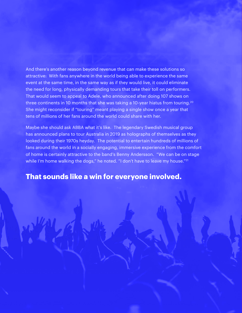And there's another reason beyond revenue that can make these solutions so attractive: With fans anywhere in the world being able to experience the same event at the same time, in the same way as if they would live, it could eliminate the need for long, physically demanding tours that take their toll on performers. That would seem to appeal to Adele, who announced after doing 107 shows on three continents in 10 months that she was taking a 10-year hiatus from touring.<sup>20</sup> She might reconsider if "touring" meant playing a single show once a year that tens of millions of her fans around the world could share with her.

Maybe she should ask ABBA what it's like. The legendary Swedish musical group has announced plans to tour Australia in 2019 as holographs of themselves as they looked during their 1970s heyday. The potential to entertain hundreds of millions of fans around the world in a socially engaging, immersive experience from the comfort of home is certainly attractive to the band's Benny Andersson. "We can be on stage while I'm home walking the dogs," he noted. "I don't have to leave my house."<sup>21</sup>

### **That sounds like a win for everyone involved.**

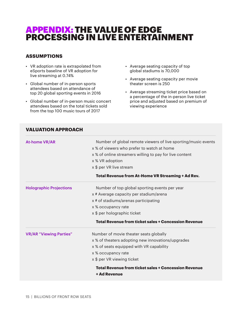## APPENDIX:THE VALUE OF EDGE PROCESSING IN LIVE ENTERTAINMENT

### **ASSUMPTIONS**

- VR adoption rate is extrapolated from eSports baseline of VR adoption for live streaming at 0.74%
- Global number of in-person sports attendees based on attendance of top 20 global sporting events in 2016

**VALUATION APPROACH**

- Global number of in-person music concert attendees based on the total tickets sold from the top 100 music tours of 2017
- Average seating capacity of top global stadiums is 70,000
- Average seating capacity per movie theater screen is 250
- Average streaming ticket price based on a percentage of the in-person live ticket price and adjusted based on premium of viewing experience

| Number of global remote viewers of live sporting/music events |  |  |  |
|---------------------------------------------------------------|--|--|--|
| x % of viewers who prefer to watch at home                    |  |  |  |
| x % of online streamers willing to pay for live content       |  |  |  |
| x % VR adoption                                               |  |  |  |
| x \$ per VR live stream                                       |  |  |  |
| Total Revenue from At-Home VR Streaming + Ad Rev.             |  |  |  |
| Number of top global sporting events per year                 |  |  |  |
| x # Average capacity per stadium/arena                        |  |  |  |
| x # of stadiums/arenas participating                          |  |  |  |
| x % occupancy rate                                            |  |  |  |
| x \$ per holographic ticket                                   |  |  |  |
| <b>Total Revenue from ticket sales + Concession Revenue</b>   |  |  |  |
| Number of movie theater seats globally                        |  |  |  |
| x % of theaters adopting new innovations/upgrades             |  |  |  |
| x % of seats equipped with VR capability                      |  |  |  |
| x % occupancy rate                                            |  |  |  |
| x \$ per VR viewing ticket                                    |  |  |  |
| <b>Total Revenue from ticket sales + Concession Revenue</b>   |  |  |  |
|                                                               |  |  |  |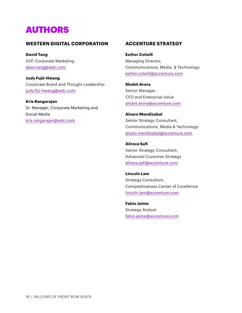## AUTHORS

### **WESTERN DIGITAL CORPORATION**

**David Tang** SVP, Corporate Marketing dave.tang@wdc.com

**Judy Fujii-Hwang** Corporate Brand and Thought Leadership judy.fijii-hwang@wdc.com

**Kris Rangarajan**  Sr. Manager, Corporate Marketing and Social Media kris.rangarajan@wdc.com

#### **ACCENTURE STRATEGY**

**Esther Colwill** Managing Director, Communications, Media, & Technology esther.colwill@accenture.com

**Shobit Arora** Senior Manager, CFO and Enterprise Value shobit.arora@accenture.com

**Alvaro Mendizabal** Senior Strategy Consultant, Communications, Media & Technology alvaro.mendizabal@accenture.com

**Alireza Safi** Senior Strategy Consultant, Advanced Customer Strategy alireza.safi@accenture.com

**Lincoln Lam** Strategy Consultant, Competitiveness Center of Excellence lincoln.lam@accenture.com

**Fabio Jaime** Strategy Analyst fabio.jaime@accenture.com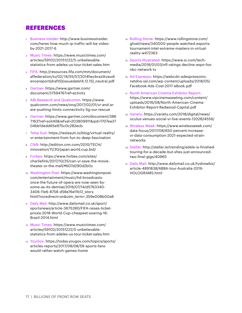### REFERENCES

- <sup>1</sup> Business Insider: http://www.businessinsider. com/heres-how-much-ip-traffic-will-be-videoby-2021-2017-6
- <sup>2</sup> Music Times: https://www.musictimes.com/ articles/59102/20151222/5-unbelievablestatistics-from-adeles-us-tour-ticket-sales.htm
- <sup>3</sup> FIFA: http://resources.fifa.com/mm/document/ affederation/tv/02/74/55/57/2014fwcbraziltvaudi encereport(draft5)(issuedate14.12.15)\_neutral.pdf
- <sup>4</sup> Gartner: https://www.gartner.com/ document/3759476?ref=activity
- <sup>5</sup> ABI Research and Qualcomm: https://www. qualcomm.com/news/onq/2017/02/01/vr-and-arare-pushing-limits-connectivity-5g-our-rescue
- <sup>6</sup> Gartner: https://www.gartner.com/document/386 7163?ref=solrAll&refval=203809911&qid=1707ea37 04bb1dedd65e975c0c282ecb
- <sup>7</sup> Telsa Suit: https://teslasuit.io/blog/virtual-reality/ vr-entertainment-from-fun-to-deep-fascination
- <sup>8</sup> CNN: http://edition.cnn.com/2010/TECH/ innovation/11/30/japan.world.cup.bid/
- <sup>9</sup> Forbes: https://www.forbes.com/sites/ charliefink/2017/10/25/can-vr-save-the-movietheater-or-the-mall/#607d290d2b0c
- <sup>10</sup> Washington Post: https://www.washingtonpost. com/entertainment/music/hd-broadcastsonce-the-future-of-opera-are-now-seen-bysome-as-its-demise/2016/07/14/d5763340- 3406-11e6-8758-d58e76e11b12\_story. html?noredirect=on&utm\_term=.359e008b00a8
- <sup>11</sup> Daily Mail: http://www.dailymail.co.uk/sport/ sportsnews/article-3675390/FIFA-raises-ticketprices-2018-World-Cup-cheapest-soaring-16- Brazil-2014.html
- <sup>12</sup> Music Times: https://www.musictimes.com/ articles/59102/20151222/5-unbelievablestatistics-from-adeles-us-tour-ticket-sales.htm
- <sup>13</sup> YouGov: https://today.yougov.com/topics/sports/ articles-reports/2017/08/08/59-sports-fanswould-rather-watch-games-home
- <sup>14</sup> Rolling Stone: https://www.rollingstone.com/ glixel/news/340000-people-watched-esportstournament-intel-extreme-masters-in-virtualreality-w472363
- <sup>15</sup> Sports Illustrated: https://www.si.com/techmedia/2018/01/03/nfl-ratings-decline-espn-foxnbc-network-tv
- <sup>16</sup> Ad Espresso: https://webcdn-adespressoinc. netdna-ssl.com/wp-content/uploads/2018/05/ Facebook-Ads-Cost-2017-eBook.pdf
- <sup>17</sup> North American Cinema Exhibitor Report: https://www.vipcinemaseating.com/content/ uploads/2016/08/North-American-Cinema-Exhibitor-Report-Redwood-Capital.pdf
- <sup>18</sup> Variety: https://variety.com/2018/digital/news/ oculus-venues-social-vr-live-events-1202824556/
- <sup>19</sup> Wireless Week: https://www.wirelessweek.com/ data-focus/2017/08/650-percent-increasevr-data-consumption-2021-expected-strainnetworks
- <sup>20</sup> Stellar: http://stellar.ie/trending/adele-is-finishedtouring-for-a-decade-but-shes-just-announcedtwo-final-gigs/40965
- <sup>21</sup> Daily Mail: http://www.dailymail.co.uk/tvshowbiz/ article-4891838/ABBA-tour-Australia-2019- HOLOGRAMS.html